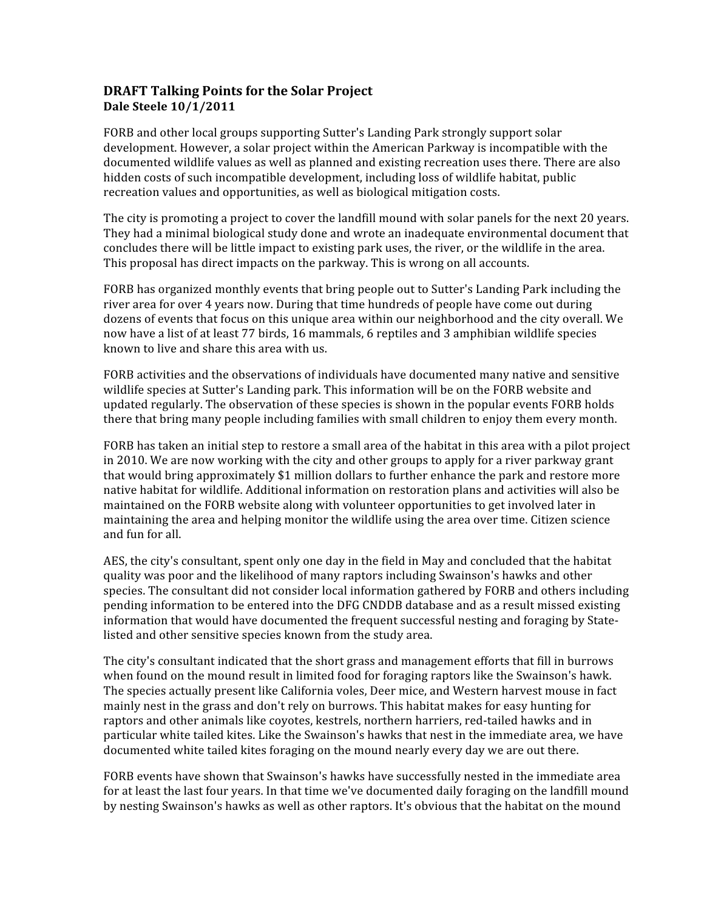## **DRAFT Talking Points for the Solar Project Dale Steele 10/1/2011**

FORB and other local groups supporting Sutter's Landing Park strongly support solar development. However, a solar project within the American Parkway is incompatible with the documented wildlife values as well as planned and existing recreation uses there. There are also hidden costs of such incompatible development, including loss of wildlife habitat, public recreation values and opportunities, as well as biological mitigation costs.

The city is promoting a project to cover the landfill mound with solar panels for the next 20 years. They had a minimal biological study done and wrote an inadequate environmental document that concludes there will be little impact to existing park uses, the river, or the wildlife in the area. This proposal has direct impacts on the parkway. This is wrong on all accounts.

FORB has organized monthly events that bring people out to Sutter's Landing Park including the river area for over 4 years now. During that time hundreds of people have come out during dozens of events that focus on this unique area within our neighborhood and the city overall. We now have a list of at least 77 birds, 16 mammals, 6 reptiles and 3 amphibian wildlife species known to live and share this area with us.

FORB activities and the observations of individuals have documented many native and sensitive wildlife species at Sutter's Landing park. This information will be on the FORB website and updated regularly. The observation of these species is shown in the popular events FORB holds there that bring many people including families with small children to enjoy them every month.

FORB has taken an initial step to restore a small area of the habitat in this area with a pilot project in 2010. We are now working with the city and other groups to apply for a river parkway grant that would bring approximately \$1 million dollars to further enhance the park and restore more native habitat for wildlife. Additional information on restoration plans and activities will also be maintained on the FORB website along with volunteer opportunities to get involved later in maintaining the area and helping monitor the wildlife using the area over time. Citizen science and fun for all.

AES, the city's consultant, spent only one day in the field in May and concluded that the habitat quality was poor and the likelihood of many raptors including Swainson's hawks and other species. The consultant did not consider local information gathered by FORB and others including pending information to be entered into the DFG CNDDB database and as a result missed existing information that would have documented the frequent successful nesting and foraging by State‐ listed and other sensitive species known from the study area.

The city's consultant indicated that the short grass and management efforts that fill in burrows when found on the mound result in limited food for foraging raptors like the Swainson's hawk. The species actually present like California voles, Deer mice, and Western harvest mouse in fact mainly nest in the grass and don't rely on burrows. This habitat makes for easy hunting for raptors and other animals like coyotes, kestrels, northern harriers, red-tailed hawks and in particular white tailed kites. Like the Swainson's hawks that nest in the immediate area, we have documented white tailed kites foraging on the mound nearly every day we are out there.

FORB events have shown that Swainson's hawks have successfully nested in the immediate area for at least the last four years. In that time we've documented daily foraging on the landfill mound by nesting Swainson's hawks as well as other raptors. It's obvious that the habitat on the mound